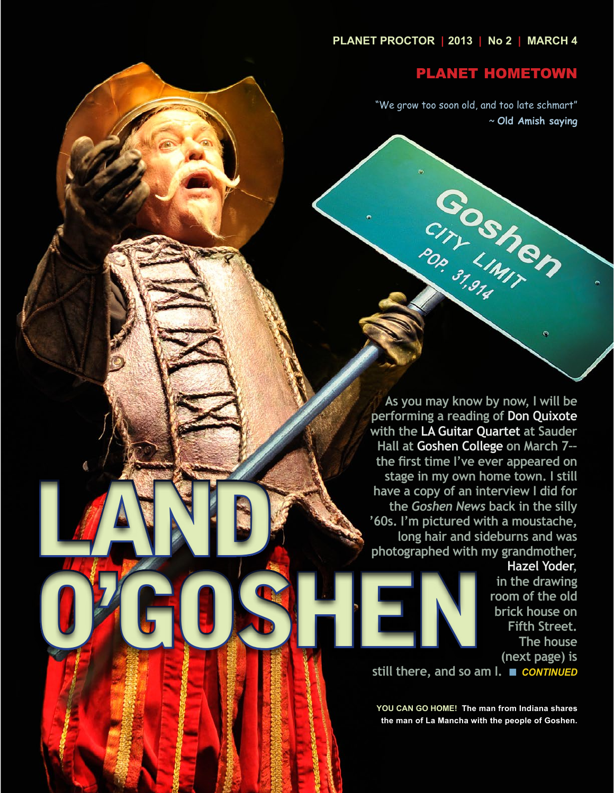# PLANET HOMETOWN

"We grow too soon old, and too late schmart" ~ **Old Amish saying**

CONSIMITY

**As you may know by now, I will be performing a reading of Don Quixote with the LA Guitar Quartet at Sauder Hall at Goshen College on March 7–– the first time I've ever appeared on stage in my own home town. I still have a copy of an interview I did for the** *Goshen News* **back in the silly '60s. I'm pictured with a moustache, long hair and sideburns and was photographed with my grandmother,** 

LAND

Ó

**Hazel Yoder, in the drawing room of the old brick house on Fifth Street. The house (next page) is** 

**still there, and so am I.** n *CONTINUED* O'GOSHEN

> **YOU CAN GO HOME! The man from Indiana shares the man of La Mancha with the people of Goshen.**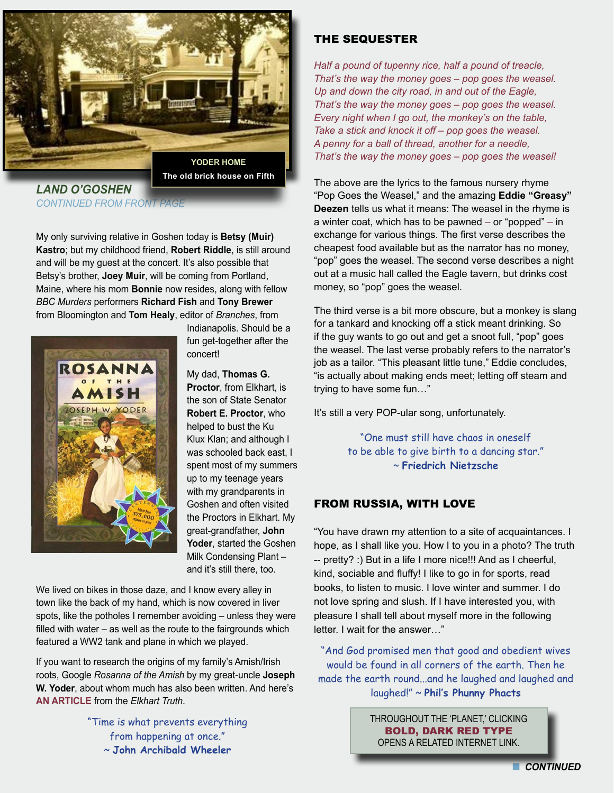

*LAND O'GOSHEN*  **CONTINUED FROM FRONT PAGE** 

My only surviving relative in Goshen today is **Betsy (Muir) Kastro**; but my childhood friend, **Robert Riddle**, is still around and will be my guest at the concert. It's also possible that Betsy's brother, **Joey Muir**, will be coming from Portland, Maine, where his mom **Bonnie** now resides, along with fellow *BBC Murders* performers **Richard Fish** and **Tony Brewer**  from Bloomington and **Tom Healy**, editor of *Branches*, from



Indianapolis. Should be a fun get-together after the concert!

My dad, **Thomas G. Proctor**, from Elkhart, is the son of State Senator **Robert E. Proctor**, who helped to bust the Ku Klux Klan; and although I was schooled back east, I spent most of my summers up to my teenage years with my grandparents in Goshen and often visited the Proctors in Elkhart. My great-grandfather, **John Yoder**, started the Goshen Milk Condensing Plant – and it's still there, too.

We lived on bikes in those daze, and I know every alley in town like the back of my hand, which is now covered in liver spots, like the potholes I remember avoiding – unless they were filled with water – as well as the route to the fairgrounds which featured a WW2 tank and plane in which we played.

If you want to research the origins of my family's Amish/Irish roots, Google *Rosanna of the Amish* by my great-uncle **Joseph W. Yoder**, about whom much has also been written. And here's **[AN ARTICLE](http://www.etruth.com/apps/pbcs.dll/article?AID=%2F20130227%2FNEWS01%2F702279920&template=wirelessart)** from the *Elkhart Truth*.

> "Time is what prevents everything from happening at once." ~ **John Archibald Wheeler**

# THE SEQUESTER

*Half a pound of tupenny rice, half a pound of treacle, That's the way the money goes – pop goes the weasel. Up and down the city road, in and out of the Eagle, That's the way the money goes – pop goes the weasel. Every night when I go out, the monkey's on the table, Take a stick and knock it off – pop goes the weasel. A penny for a ball of thread, another for a needle, That's the way the money goes – pop goes the weasel!*

The above are the lyrics to the famous nursery rhyme "Pop Goes the Weasel," and the amazing **Eddie "Greasy" Deezen** tells us what it means: The weasel in the rhyme is a winter coat, which has to be pawned *–* or "popped" *–* in exchange for various things. The first verse describes the cheapest food available but as the narrator has no money, "pop" goes the weasel. The second verse describes a night out at a music hall called the Eagle tavern, but drinks cost money, so "pop" goes the weasel.

The third verse is a bit more obscure, but a monkey is slang for a tankard and knocking off a stick meant drinking. So if the guy wants to go out and get a snoot full, "pop" goes the weasel. The last verse probably refers to the narrator's job as a tailor. "This pleasant little tune," Eddie concludes, "is actually about making ends meet; letting off steam and trying to have some fun…"

It's still a very POP-ular song, unfortunately.

"One must still have chaos in oneself to be able to give birth to a dancing star." ~ **Friedrich Nietzsche**

## FROM RUSSIA, WITH LOVE

"You have drawn my attention to a site of acquaintances. I hope, as I shall like you. How I to you in a photo? The truth -- pretty? :) But in a life I more nice!!! And as I cheerful, kind, sociable and fluffy! I like to go in for sports, read books, to listen to music. I love winter and summer. I do not love spring and slush. If I have interested you, with pleasure I shall tell about myself more in the following letter. I wait for the answer…"

"And God promised men that good and obedient wives would be found in all corners of the earth. Then he made the earth round...and he laughed and laughed and laughed!" ~ **Phil's Phunny Phacts**

> THROUGHOUT THE 'PLANET,' CLICKING BOLD, DARK RED TYPE OPENS A RELATED INTERNET LINK.

> > **CONTINUED**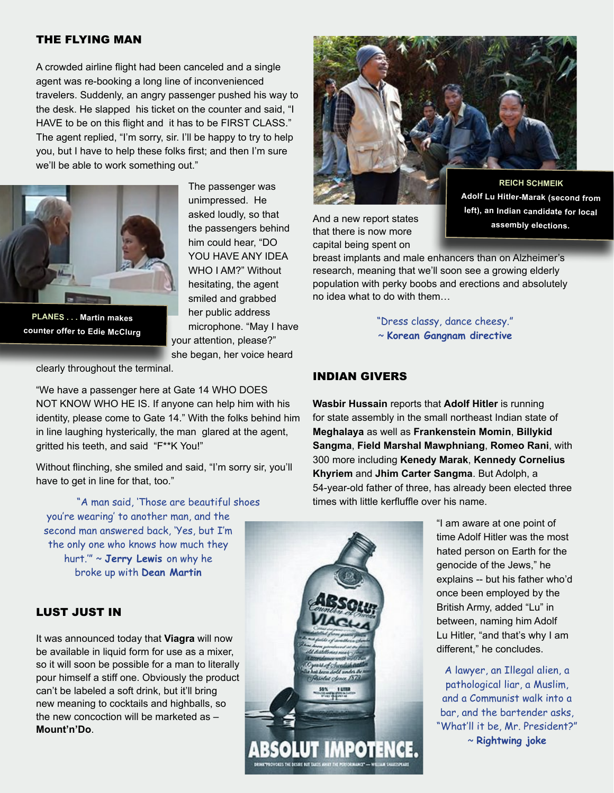#### THE FLYING MAN

A crowded airline flight had been canceled and a single agent was re-booking a long line of inconvenienced travelers. Suddenly, an angry passenger pushed his way to the desk. He slapped his ticket on the counter and said, "I HAVE to be on this flight and it has to be FIRST CLASS." The agent replied, "I'm sorry, sir. I'll be happy to try to help you, but I have to help these folks first; and then I'm sure we'll be able to work something out."



**PLANES . . . Martin makes counter offer to Edie McClurg**

The passenger was unimpressed. He asked loudly, so that the passengers behind him could hear, "DO YOU HAVE ANY IDEA WHO I AM?" Without hesitating, the agent smiled and grabbed her public address microphone. "May I have your attention, please?" she began, her voice heard



"We have a passenger here at Gate 14 WHO DOES NOT KNOW WHO HE IS. If anyone can help him with his identity, please come to Gate 14." With the folks behind him in line laughing hysterically, the man glared at the agent, gritted his teeth, and said "F\*\*K You!"

Without flinching, she smiled and said, "I'm sorry sir, you'll have to get in line for that, too."

"A man said, 'Those are beautiful shoes you're wearing' to another man, and the second man answered back, 'Yes, but I'm the only one who knows how much they hurt.'" ~ **Jerry Lewis** on why he broke up with **Dean Martin**

# LUST JUST IN

It was announced today that **Viagra** will now be available in liquid form for use as a mixer, so it will soon be possible for a man to literally pour himself a stiff one. Obviously the product can't be labeled a soft drink, but it'll bring new meaning to cocktails and highballs, so the new concoction will be marketed as – **Mount'n'Do**.



And a new report states that there is now more capital being spent on

**Adolf Lu Hitler-Marak (second from left), an Indian candidate for local assembly elections.**

breast implants and male enhancers than on Alzheimer's research, meaning that we'll soon see a growing elderly population with perky boobs and erections and absolutely no idea what to do with them…

> "Dress classy, dance cheesy." ~ **Korean Gangnam directive**

#### INDIAN GIVERS

**Wasbir Hussain** reports that **Adolf Hitler** is running for state assembly in the small northeast Indian state of **Meghalaya** as well as **Frankenstein Momin**, **Billykid Sangma**, **Field Marshal Mawphniang**, **Romeo Rani**, with 300 more including **Kenedy Marak**, **Kennedy Cornelius Khyriem** and **Jhim Carter Sangma**. But Adolph, a 54-year-old father of three, has already been elected three times with little kerfluffle over his name.



"I am aware at one point of time Adolf Hitler was the most hated person on Earth for the genocide of the Jews," he explains -- but his father who'd once been employed by the British Army, added "Lu" in between, naming him Adolf Lu Hitler, "and that's why I am different," he concludes.

A lawyer, an Illegal alien, a pathological liar, a Muslim, and a Communist walk into a bar, and the bartender asks, "What'll it be, Mr. President?" ~ **Rightwing joke**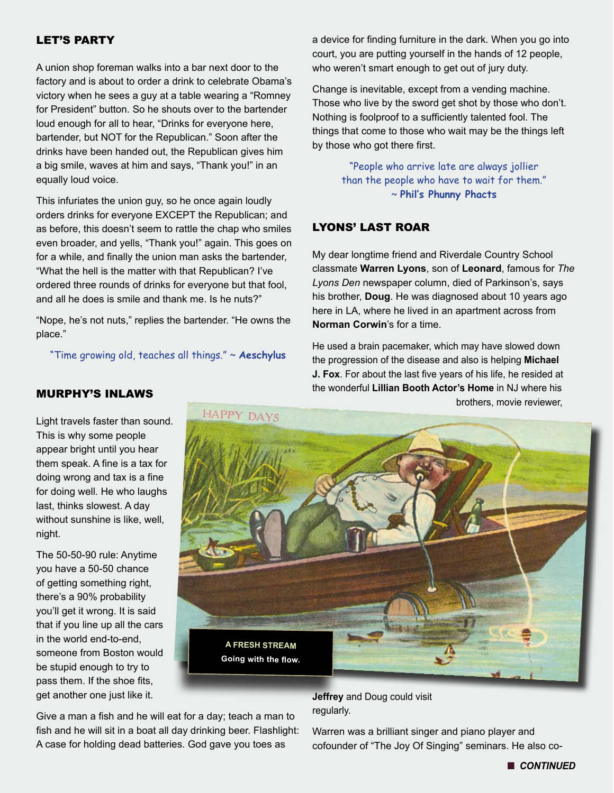# LET'S PARTY

A union shop foreman walks into a bar next door to the factory and is about to order a drink to celebrate Obama's victory when he sees a guy at a table wearing a "Romney for President" button. So he shouts over to the bartender loud enough for all to hear, "Drinks for everyone here, bartender, but NOT for the Republican." Soon after the drinks have been handed out, the Republican gives him a big smile, waves at him and says, "Thank you!" in an equally loud voice.

This infuriates the union guy, so he once again loudly orders drinks for everyone EXCEPT the Republican; and as before, this doesn't seem to rattle the chap who smiles even broader, and yells, "Thank you!" again. This goes on for a while, and finally the union man asks the bartender, "What the hell is the matter with that Republican? I've ordered three rounds of drinks for everyone but that fool, and all he does is smile and thank me. Is he nuts?"

"Nope, he's not nuts," replies the bartender. "He owns the place."

"Time growing old, teaches all things." ~ **Aeschylus**

a device for finding furniture in the dark. When you go into court, you are putting yourself in the hands of 12 people, who weren't smart enough to get out of jury duty.

Change is inevitable, except from a vending machine. Those who live by the sword get shot by those who don't. Nothing is foolproof to a sufficiently talented fool. The things that come to those who wait may be the things left by those who got there first.

> "People who arrive late are always jollier than the people who have to wait for them." ~ **Phil's Phunny Phacts**

# LYONS' LAST ROAR

My dear longtime friend and Riverdale Country School classmate **Warren Lyons**, son of **Leonard**, famous for *The Lyons Den* newspaper column, died of Parkinson's, says his brother, **Doug**. He was diagnosed about 10 years ago here in LA, where he lived in an apartment across from **Norman Corwin**'s for a time.

He used a brain pacemaker, which may have slowed down the progression of the disease and also is helping **Michael J. Fox**. For about the last five years of his life, he resided at the wonderful **Lillian Booth Actor's Home** in NJ where his brothers, movie reviewer,



Give a man a fish and he will eat for a day; teach a man to fish and he will sit in a boat all day drinking beer. Flashlight: A case for holding dead batteries. God gave you toes as

**Jeffrey** and Doug could visit regularly.

Warren was a brilliant singer and piano player and cofounder of "The Joy Of Singing" seminars. He also co-

#### MURPHY'S INLAWS

Light travels faster than sound. This is why some people appear bright until you hear them speak. A fine is a tax for doing wrong and tax is a fine for doing well. He who laughs last, thinks slowest. A day without sunshine is like, well, night.

The 50-50-90 rule: Anytime you have a 50-50 chance of getting something right, there's a 90% probability you'll get it wrong. It is said that if you line up all the cars in the world end-to-end, someone from Boston would be stupid enough to try to pass them. If the shoe fits, get another one just like it.